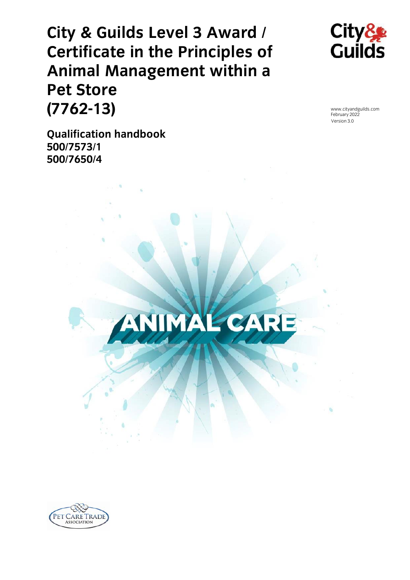# **City & Guilds Level 3 Award / Animal Management within a Pet Store (7762-13) (776213)** February 2022<br> **Comparison** Section 3.0<br> **Comparison Section 3.0**



www.cityandguilds.com<br>February 2022<br>Version 3.0

**Qualification handbook 500/7573/1 500/7650/4**



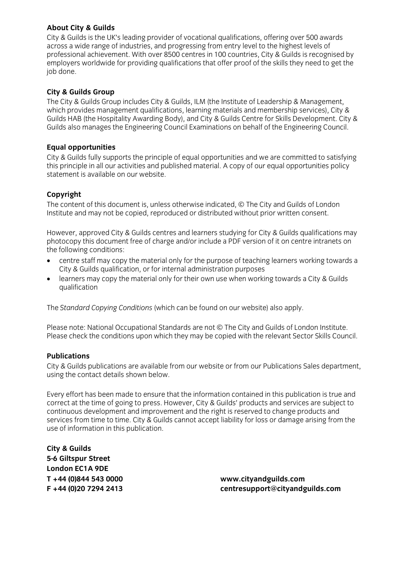**About City & Guilds** across a wide range of industries, and progressing from entry level to the highest levels of professional achievement. With over 8500 centres in 100 countries, City & Guilds is recognised by  $p$  processes worldwide for providing qualifications that offer proof of the skills they need to get the  $\frac{1}{2}$ ing qualitations that of the skills that of the skills the skills theory need to get the skills theory need to get the skills theory need to get the skills the skills the skills the skills the skills the skills t job done.

**City & Guilds Group** which provides management qualifications, learning materials and membership services). City & Guilds HAB (the Hospitality Awarding Body), and City & Guilds Centre for Skills Development. City & Guilds also manages the Engineering Council Examinations on behalf of the Engineering Council. Guilds also manages the Engineering Council Examinations on behalf of the Engineering Council.

**Equal opportunities** this principle in all our activities and published material. A copy of our equal opportunities policy statement is available on our website. statement is available on our website.

**Copyright**<br>The content of this document is, unless otherwise indicated, © The City and Guilds of London The content of the accument is, unless other the mandated, © The City and Cumus of London.<br>Institute and may not be conjed, reproduced or distributed without prior written consent Institute and may not be copied, reproduced or distributed without prior written consent.

However, approved City & Guilds centres and learners studying for City & Guilds qualifications may photocopy this document free of charge and/or include a PDF version of it on centre intranets on the following conditions:

- centre staff may copy the material only for the purpose of teaching learners working towards a<br>City & Guilds qualification, or for internal administration purposes
- learners may copy the material only for their own use when working towards a City & Guilds<br>qualification qualification

The *Standard Copying Conditions* (which can be found on our website) also apply.

Please note: National Occupational Standards are not © The City and Guilds of London Institute.<br>Please check the conditions upon which they may be copied with the relevant Sector Skills Council. Please check the conditions upon which they may be copied with the relevant Sector Skills Council.

### **Publications**

City & Guilds publications are available from our website or from our Publications Sales department. using the contact details shown below. using the contact details shown below.

Every effort has been made to ensure that the information contained in this publication is true and correct at the time of going to press. However, City & Guilds' products and services are subject to continuous development and improvement and the right is reserved to change products and services from time to time. City & Guilds cannot accept liability for loss or damage arising from the services from time to time. City & Guilds cannot accept liability for loss or damage arising from the use of information in this publication.

**City & Guilds London EC1A 9DE**  $T + 44$  (0)844 543 0000

**T +44 (0)844 543 0000 [www.cityandguilds.com](mailto:centresupport@cityandguilds.com) F +44 (0)20 7294 2413 centresupport@cityandguilds.com**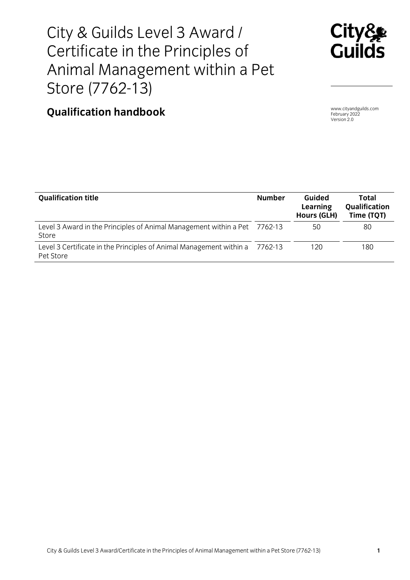# City & Guilds Level 3 Award /<br>Certificate in the Principles of Animal Management within a Pet Store (7762-13)



## $\frac{1}{2}$ **Qualification handbook** Estimal Section 2022<br>
Version 2.0

Version 2.0

| <b>Qualification title</b>                                                         | <b>Number</b> | Guided<br>Learning<br><b>Hours (GLH)</b> | Total<br>Qualification<br>Time (TQT) |
|------------------------------------------------------------------------------------|---------------|------------------------------------------|--------------------------------------|
| Level 3 Award in the Principles of Animal Management within a Pet 7762-13<br>Store |               | 50                                       | 80                                   |
| Level 3 Certificate in the Principles of Animal Management within a<br>Pet Store   | 7762-13       | 120                                      | 180                                  |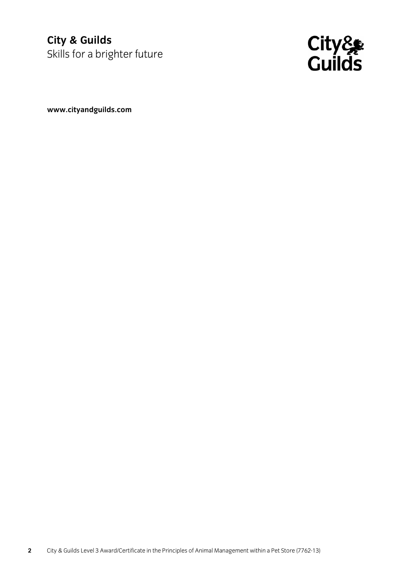### future **City City City Contral** Skills for a brighter



**[www.cityandguilds.com](http://www.cityandguilds.com/)**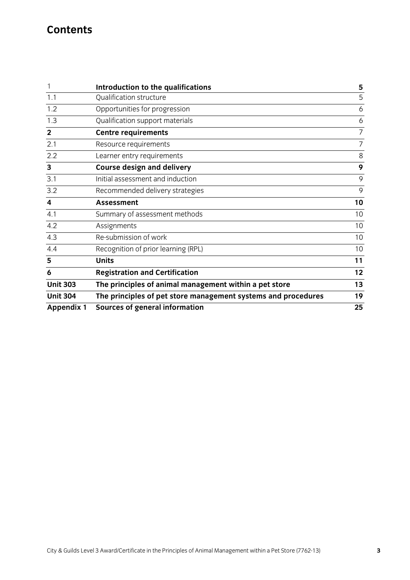# **Contents**

|                         | Introduction to the qualifications                            | 5              |
|-------------------------|---------------------------------------------------------------|----------------|
| 1.1                     | Qualification structure                                       | 5              |
| 1.2                     | Opportunities for progression                                 | 6              |
| 1.3                     | Qualification support materials                               | 6              |
| $\overline{2}$          | <b>Centre requirements</b>                                    | $\overline{7}$ |
| 2.1                     | Resource requirements                                         | $\overline{7}$ |
| 2.2                     | Learner entry requirements                                    | 8              |
| 3                       | <b>Course design and delivery</b>                             | 9              |
| 3.1                     | Initial assessment and induction                              | 9              |
| 3.2                     | Recommended delivery strategies                               | 9              |
| $\overline{\mathbf{4}}$ | <b>Assessment</b>                                             | 10             |
| 4.1                     | Summary of assessment methods                                 | 10             |
| 4.2                     | Assignments                                                   | 10             |
| 4.3                     | Re-submission of work                                         | 10             |
| 4.4                     | Recognition of prior learning (RPL)                           | 10             |
| 5                       | <b>Units</b>                                                  | 11             |
| 6                       | <b>Registration and Certification</b>                         | 12             |
| <b>Unit 303</b>         | The principles of animal management within a pet store        | 13             |
| <b>Unit 304</b>         | The principles of pet store management systems and procedures | 19             |
| <b>Appendix 1</b>       | <b>Sources of general information</b>                         | 25             |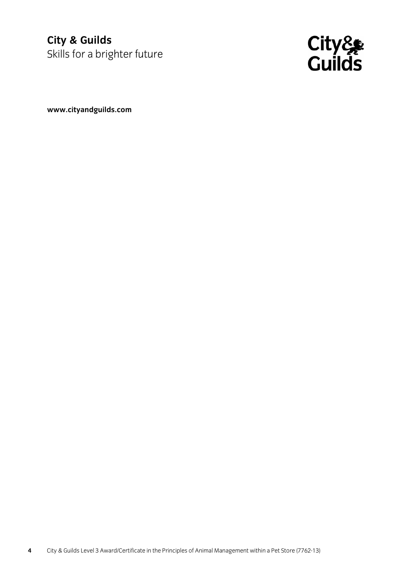### future **City City City Contral** Skills for a brighter



**[www.cityandguilds.com](http://www.cityandguilds.com/)**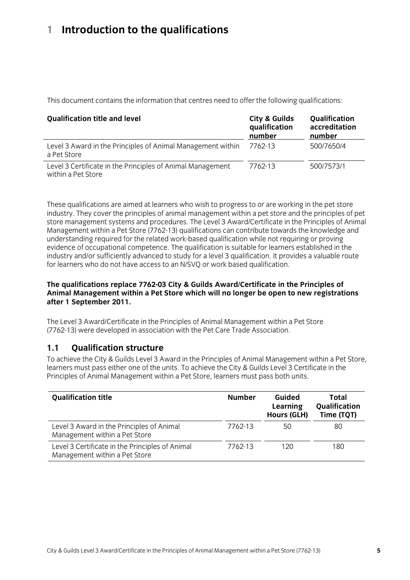### <span id="page-6-0"></span> $\mathbf{1}$ **1 Introduction to the qualifications**

This document contains the information that centres need to offer the following qualifications:

| <b>Qualification title and level</b>                                             | City & Guilds<br>qualification<br>number | Qualification<br>accreditation<br>number |
|----------------------------------------------------------------------------------|------------------------------------------|------------------------------------------|
| Level 3 Award in the Principles of Animal Management within<br>a Pet Store       | 7762-13                                  | 500/7650/4                               |
| Level 3 Certificate in the Principles of Animal Management<br>within a Pet Store | 7762-13                                  | 500/7573/1                               |

These qualifications are aimed at learners who wish to progress to or are working in the pet store industry. They cover the principles of animal management within a pet store and the principles of pet store management systems and procedures. The Level 3 Award/Certificate in the Principles of Animal Management within a Pet Store (7762-13) qualifications can contribute towards the knowledge and understanding required for the related work-based qualification while not requiring or proving evidence of occupational competence. The qualification is suitable for learners established in the industry and/or sufficiently advanced to study for a level 3 qualification. It provides a valuable route for learners who do not have access to an N/SVQ or work based qualification. for learners who do not have access to an N/SVQ or work based qualification.

### **The qualifications replace 7762-03 City & Guilds Award/Certificate in the Principles of Andrew 1 September 2011. after 1 September 2011.**

The Level 3 Award/Certificate in the Principles of Animal Management within a Pet Store (7762-13) were developed in association with the Pet Care Trade Association. (7762-13) were developed in association with the Pet Care Trade Association.

#### $1.1$ **Oualification structure**

To achieve the City & Guilds Level 3 Award in the Principles of Animal Management within a Pet Store. learners must pass either one of the units. To achieve the City & Guilds Level 3 Certificate in the Principles of Animal Management within a Pet Store, learners must pass both units. Principles of Animal Management within a Pet Store, learners must pass both units.

| <b>Qualification title</b>                                                       | <b>Number</b> | Guided<br>Learning<br><b>Hours (GLH)</b> | <b>Total</b><br>Qualification<br>Time (TQT) |
|----------------------------------------------------------------------------------|---------------|------------------------------------------|---------------------------------------------|
| Level 3 Award in the Principles of Animal<br>Management within a Pet Store       | 7762-13       | 50                                       | 80                                          |
| Level 3 Certificate in the Principles of Animal<br>Management within a Pet Store | 7762-13       | 120                                      | 180                                         |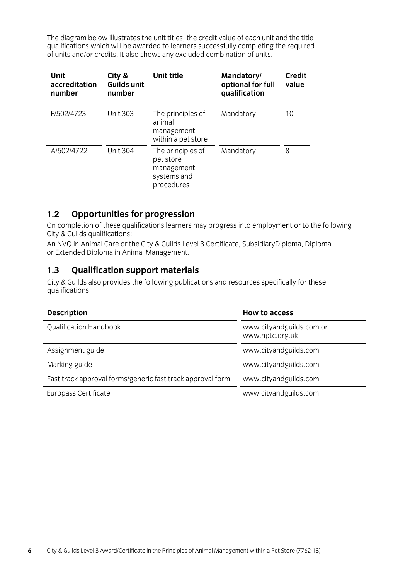<span id="page-7-0"></span>The diagram below illustrates the unit titles, the credit value of each unit and the title qualifications which will be awarded to learners successfully completing the required qualifications which will be available to complete the successfully completing the required combination of  $\mu$ of units and/or credits. It also shows any excluded combination of units.

| <b>Unit</b><br>accreditation<br>number | City &<br><b>Guilds unit</b><br>number | Unit title                                                                | Mandatory/<br>optional for full<br>qualification | <b>Credit</b><br>value |
|----------------------------------------|----------------------------------------|---------------------------------------------------------------------------|--------------------------------------------------|------------------------|
| F/502/4723                             | <b>Unit 303</b>                        | The principles of<br>animal<br>management<br>within a pet store           | Mandatory                                        | 10                     |
| A/502/4722                             | <b>Unit 304</b>                        | The principles of<br>pet store<br>management<br>systems and<br>procedures | Mandatory                                        | 8                      |

**1.2 • Opportunities for progression**<br>On completion of these qualifications learners may progress into employment or to the following City & Guilds qualifications:

An NVQ in Animal Care or the City & Guilds Level 3 Certificate, SubsidiaryDiploma, Diploma An Angles and animal Care of the City of Guilds Level 3 Certificate, Subsidiary Diploma, Diploma, Diploma, Dip or Extended Diploma in Animal Management.

### $1.3$

**1.3 Qualification support materials** qualifications: qualitations:

| <b>Description</b>                                         | <b>How to access</b>                        |
|------------------------------------------------------------|---------------------------------------------|
| Qualification Handbook                                     | www.cityandguilds.com or<br>www.nptc.org.uk |
| Assignment guide                                           | www.cityandguilds.com                       |
| Marking guide                                              | www.cityandguilds.com                       |
| Fast track approval forms/generic fast track approval form | www.cityandguilds.com                       |
| Europass Certificate                                       | www.cityandguilds.com                       |
|                                                            |                                             |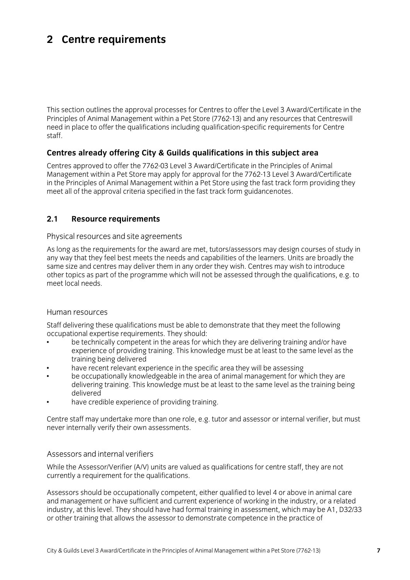### <span id="page-8-0"></span>**2 Centre requirements**

This section outlines the approval processes for Centres to offer the Level 3 Award/Certificate in the Principles of Animal Management within a Pet Store (7762-13) and any resources that Centreswill need in place to offer the qualifications including qualification-specific requirements for Centre need in place to offer the qualifications including qualification-specific requirements for Centre staff.

# **Centres already offering City & Guilds qualifications in this subject area**

Management within a Pet Store may apply for approval for the 7762-13 Level 3 Award/Certificate in the Principles of Animal Management within a Pet Store using the fast track form providing they meet all of the approval criteria specified in the fast track form guidancenotes. meet all of the approval criteria specified in the fast track form guidancenotes.

#### $2.1$ **2.1 Resource requirements**

Physical resources and site agreements<br>As long as the requirements for the award are met, tutors/assessors may design courses of study in any way that they feel best meets the needs and capabilities of the learners. Units are broadly the same size and centres may deliver them in any order they wish. Centres may wish to introduce other topics as part of the programme which will not be assessed through the qualifications, e.g. to meet local needs. meet local needs.

Human resources<br>Staff delivering these qualifications must be able to demonstrate that they meet the following occupational expertise requirements. They should:

- be technically competent in the areas for which they are delivering training and/or have experience of providing training. This knowledge must be at least to the same level as the training being delivered
- have recent relevant experience in the specific area they will be assessing
- be occupationally knowledgeable in the area of animal management for which they are delivering training. This knowledge must be at least to the same level as the training being delivered
- have cred  $\sigma$   $\sigma$   $\sigma$   $\sigma$   $\sigma$   $\sigma$

Centre staff may undertake more than one role, e.g. tutor and assessor or internal verifier, but must never internally verify their own assessments. never internally verify their own assessments.

### Assessors and internal verifiers

While the Assessor/Verifier (A/V) units are valued as qualifications for centre staff, they are not currently a requirement for the qualifications. currently a requirement for the qualifications.

Assessors should be occupationally competent, either qualified to level 4 or above in animal care<br>and management or have sufficient and current experience of working in the industry, or a related industry, at this level. They should have had formal training in assessment, which may be A1, D32/33 or other training that allows the assessor to demonstrate competence in the practice of  $\sigma$  or  $\sigma$  or  $\sigma$  that allows the assessment competence in the product of  $\sigma$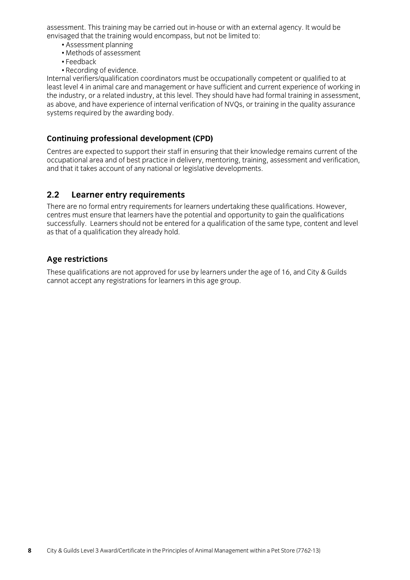<span id="page-9-0"></span>assessment. This training may be carried out in-house or with an external agency. It would be envisaged that the training would encompass, but not be limited to:

- Assessment planning
- Methods of assessment
- $\cdot$  Feedback
- Recording of evidence.

Internal verifiers/qualification coordinators must be occupationally competent or qualified to at least level 4 in animal care and management or have sufficient and current experience of working in the industry, or a related industry, at this level. They should have had formal training in assessment, as above, and have experience of internal verification of NVQs, or training in the quality assurance  $\alpha$  above, and have experience of  $\alpha$  internal verifies of  $\alpha$  in the system of  $\alpha$  in the quality assume  $\alpha$ systems required by the awarding body.

**Continuing professional development (CPD)** occupational area and of best practice in delivery, mentoring, training, assessment and verification,  $\frac{1}{2}$  and that it takes account of any national or legislative developments and that it takes account of any national or legislative dependents.

### $2.2$

**2.2 Learner entry requirements**<br>There are no formal entry requirements for learners undertaking these qualifications. However, centres must ensure that learners have the potential and opportunity to gain the qualifications. successfully. Learners should not be entered for a qualification of the same type, content and level as that of a qualification they already hold. as that of  $\frac{1}{\sqrt{2}}$  and  $\frac{1}{\sqrt{2}}$  and  $\frac{1}{\sqrt{2}}$  and  $\frac{1}{\sqrt{2}}$  and  $\frac{1}{\sqrt{2}}$ 

Age restrictions<br>These qualifications are not approved for use by learners under the age of 16, and City & Guilds cannot accept any registrations for learners in this age group. cannot accept any registrations for learners in this age group.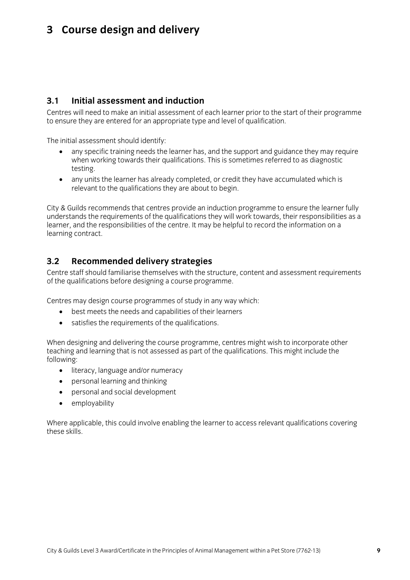# <span id="page-10-0"></span>**3 Course design and delivery**

#### Initial assessment and induction  $3.1$

**2.1 Centres will need to make an initial assessment of each learner prior to the start of their programme** Centres will need to make a make a matter of the start of the start of the start of the start of the start of the start of the start of the start of the start of the start of the start of the start of the start of the star to ensure they are entered for an appropriate type and level of qualification.

- any specific training needs the learner has, and the support and guidance they may require<br>• any specific training needs the learner has, and the support and guidance they may require<br>when working towards their qualifica  $\frac{1}{2}$  towards the towards their qualitations. This is sometimes referred to as diagnostic as diagnostic as diagnostic as diagnostic as diagnostic as diagnostic as diagnostic as diagnostic as diagnostic as diagnostic a
	- any units the learner has already completed, or credit they have accumulated which is<br>relevant to the qualifications they are about to begin relevant to the qualifications they are about to begin.

City & Guilds recommends that centres provide an induction programme to ensure the learner fully<br>understands the requirements of the qualifications they will work towards, their responsibilities as a learner, and the responsibilities of the centre. It may be helpful to record the information on a learning contract. learning contract.

### $3.2$

**3.2 Recommended delivery strategies**  $\alpha$  the qualifications before designing a course programme of the qualifications before designing a course programme.

- best meets the needs and capabilities of their learners<br>• best meets the needs and capabilities of their learners
	- satisfies the requirements of the qualifications.

when designing and demoning the course programme, centres might men to incorporate other<br>teaching and learning that is not assessed as nart of the qualifications. This might include the teaching and the quality that is not assessed as part of the quality of the quality of the  $\frac{1}{2}$ 

- literacy, language and/or numeracy
	- personal learning and thinking<br>• personal and social development
	- personal and social development<br>• employability
	- employability

where applicable, this could involve enabling the learner to access relevant qualifications covering<br>these skills these skills.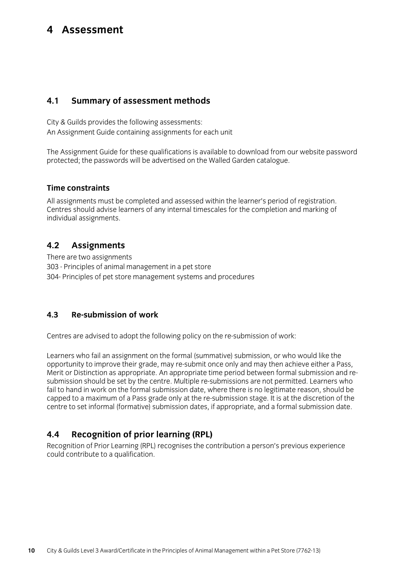### <span id="page-11-0"></span>4 Assessment **4 Assessment**

#### $4.1$ **4.1 Summary of assessment methods**

City & Guilds provides the following assessments:<br>An Assignment Guide containing assignments for each unit  $\alpha$  and  $\alpha$  assignment containing assignments for each unit  $\alpha$ 

The Assignment Guide for these qualifications is available to download from our website password<br>protected; the passwords will be advertised on the Walled Garden catalogue. protected; the passwords will be advertised on the Walled Garden catalogue.

### **Time constraints**

All assignments must be completed and assessed within the learner's period of registration. Centres should advise learners of any internal timescales for the completion and marking of individual assignments. individual assignments.

### **4.2 Assignments**  $4.2$

303 - Principles of animal management in a pet store 304- Principles of pet store management systems and procedures 304- Principles of pet store management systems and procedures

#### $4.3$ **Re-submission of work 4.3 Re-submission of work**

 $C_{\text{c}}$  are a statistical policy on the following policy on the results  $\mathcal{C}_{\text{c}}$ 

Learners who fail an assignment on the formal (summative) submission, or who would like the opportunity to improve their grade, may re-submit once only and may then achieve either a Pass, Merit or Distinction as appropriate. An appropriate time period between formal submission and resubmission should be set by the centre. Multiple re-submissions are not permitted. Learners who fail to hand in work on the formal submission date. where there is no legitimate reason, should be capped to a maximum of a Pass grade only at the re-submission stage. It is at the discretion of the centre to set informal (formative) submission dates, if appropriate, and a formal submission date. centre to set informal (formative) submission dates, if appropriate, and a formal submission date.

### $44$

**4.4 Recognition of prior learning (RPL)** could contribute to a qualification. could contribute to a qualification.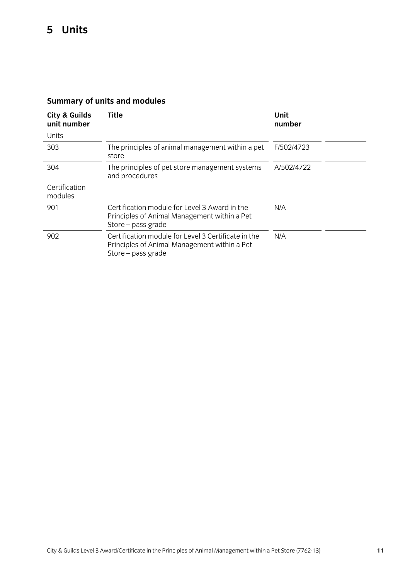| City & Guilds<br>unit number | Title                                                                                                                     | Unit<br>number |
|------------------------------|---------------------------------------------------------------------------------------------------------------------------|----------------|
| Units                        |                                                                                                                           |                |
| 303                          | The principles of animal management within a pet<br>store                                                                 | F/502/4723     |
| 304                          | The principles of pet store management systems<br>and procedures                                                          | A/502/4722     |
| Certification<br>modules     |                                                                                                                           |                |
| 901                          | Certification module for Level 3 Award in the<br>Principles of Animal Management within a Pet<br>Store - pass grade       | N/A            |
| 902                          | Certification module for Level 3 Certificate in the<br>Principles of Animal Management within a Pet<br>Store - pass grade | N/A            |

### <span id="page-12-0"></span>**Summary of units and modules**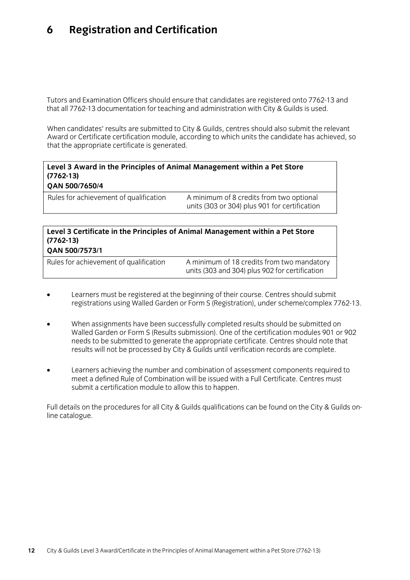### <span id="page-13-0"></span>6 **6 Registration and Certification**

Tutors and Examination Officers should ensure that candidates are registered onto 7762-13 and<br>that all 7762-13 documentation for teaching and administration with City & Guilds is used.  $\frac{1}{\alpha}$  all  $\frac{1}{\alpha}$  documentation for teaching and administration with  $\frac{1}{\alpha}$ 

When candidates' results are submitted to City & Guilds, centres should also submit the relevant<br>Award or Certificate certification module, according to which units the candidate has achieved, so that the appropriate certificate is generated. that the appropriate certificate is generated.

 $\frac{1}{2}$  or  $\frac{1}{2}$  for  $\frac{1}{2}$  for  $\frac{1}{2}$  for certification

| Level 3 Award in the Principles of Animal Management within a Pet Store<br>$(7762-13)$<br><b>OAN 500/7650/4</b> |                                          |
|-----------------------------------------------------------------------------------------------------------------|------------------------------------------|
| Rules for achievement of qualification                                                                          | A minimum of 8 credits from two optional |

Rules for achievement of qualification A minimum of 8 credits from two optional

### **Level 3 Certificate in the Principles of Animal Management within a Pet Store (7762-13)**

| Rules for achievement of qualification | A minimum of 18 credits from two mandatory<br>units (303 and 304) plus 902 for certification |
|----------------------------------------|----------------------------------------------------------------------------------------------|
|                                        |                                                                                              |

- Learners must be registered at the beginning of their course. Centres should submit registrations using Walled Garden or Form S (Registration), under scheme/complex 7762-13. registrations using Walled Garden or Form S (Registration), under scheme/complex 7762-13.
- When assignments have been successfully completed results should be submitted on needs to be submitted to generate the appropriate certificate. Centres should note that needs to be committed to generate the appropriate certification records are complete.<br>results will not be processed by City & Guilds until verification records are complete results will not be processed by City & Guilds until verification records are complete.
- Learners achieving the number and combination of assessment components required to meet a defined Rule of Combination will be issued with a Full Certificate. Centres must submit a certification module to allow this to hannen submit a certification module to allow this to happen.

Full details on the procedures for all City & Guilds qualifications can be found on the City & Guilds on-<br>line catalogue. line catalogue.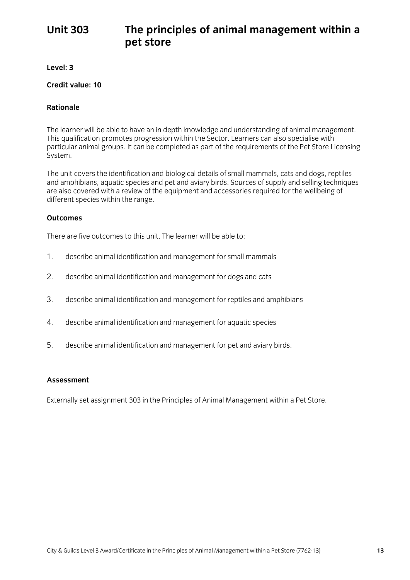### <span id="page-14-0"></span>The principles of animal management within a pet store **Unit 303 pet store**

**Level: 3**

#### Credit value: 10 **Credit value: 10**

## **Rationale**

The learner will be able to have an in depth knowledge and understanding of animal management.<br>This qualification promotes progression within the Sector. Learners can also specialise with This qualification promotes progression within the Sector. Learners can also specialise with particular animal groups. It can be completed as part of the requirements of the Pet Store Licensing System.

The unit covers the identification and biological details of small mammals, cats and dogs, reptiles and amphibians, aquatic species and pet and aviary birds. Sources of supply and selling techniques are also covered with a review of the equipment and accessories required for the wellbeing of are also covered within a review of the equipment and accessories required for the wellsing of different species within the range.

## **Outcomes**

There are five outcomes to this unit. The learner will be able to:

- $1<sub>1</sub>$ describe animal identification and management for small mammals
- $\mathcal{P}$ 2. describe animal identification and management for dogs and cats
- $\overline{3}$ . 3. describe animal identification and management for reptiles and amphibians
- $\overline{4}$ . 4. describe animal identification and management for aquatic species
- $5<sub>1</sub>$ 5. describe animal identification and management for pet and aviary birds.

### **Assessment**

 $\sum_{i=1}^n a_i$  in the Principles of Animal Management with a Peters of Animal Management with a Peters of Animal Management with a Peters of Animal Management with a Peters of Animal Management with  $\sum_{i=1}^n a_i$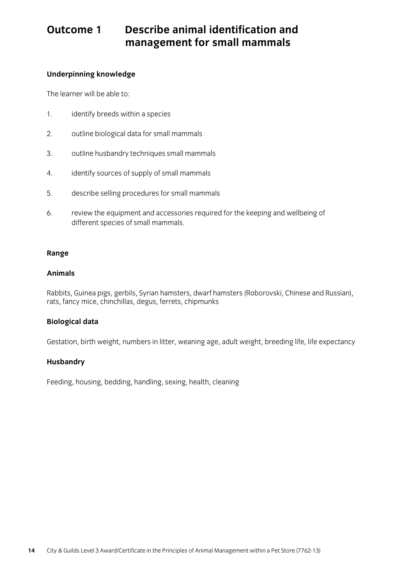## **Outcome 1 Describe animal identification and management for small mammals**

### **Underpinning knowledge**

The learner will be able to:

- $1<sup>1</sup>$ 1. identify breeds within a species
- $\mathcal{D}_{\mathcal{L}}$ outline biological data for small mammals
- $3.$ outline husbandry techniques small mammals
- 4. identify sources of supply of small mammals
- 5. describe selling procedures for small mammals
- review the equipment and accessories required for the keeping and wellbeing of different species of small mammals. 6. different species of small mammals.

### **Range**

### **Animals**

 $R$  and  $R$  proposes  $\mathcal{L}$  and  $\mathcal{L}$  and  $\mathcal{L}$  has  $\mathcal{L}$  and  $R$  and  $R$  and  $R$  and  $R$  and  $R$  and  $R$  and  $R$  and  $R$  and  $R$  and  $R$  and  $R$  and  $R$  and  $R$  and  $R$  and  $R$  and  $R$  and  $R$  and  $R$  and  $R$  rats, fancy mice, chinchillas, degus, ferrets, chipmunks

### **Biological data**

Gestation, birth weight, numbers in litter, weaning age, adult weight, breeding life, life expectancy

### **Husbandry**

Feeding, housing, bedding, handling, sexing, health, cleaning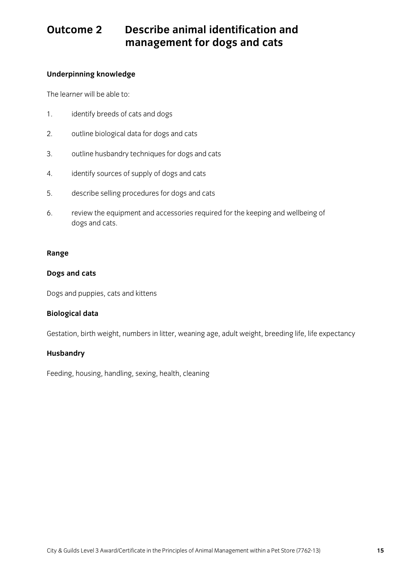## **Outcome 2 Describe animal identification and management for dogs and cats**

### **Underpinning knowledge**

The learner will be able to:

- 1. identify breeds of cats and dogs
- $2.$ 2. outline biological data for dogs and cats
- 3. outline husbandry techniques for dogs and cats
- 4. identify sources of supply of dogs and cats
- describe selling procedures for dogs and cats  $5<sub>1</sub>$
- 6. review the equipment and accessories required for the keeping and wellbeing of dogs and cats.

### **Range**

### **Dogs and cats**

Dogs and puppies, cats and kittens

### **Biological data**

Gestation, birth weight, numbers in litter, weaning age, adult weight, breeding life, life expectancy

### **Husbandry**

Feeding, housing, handling, sexing, health, cleaning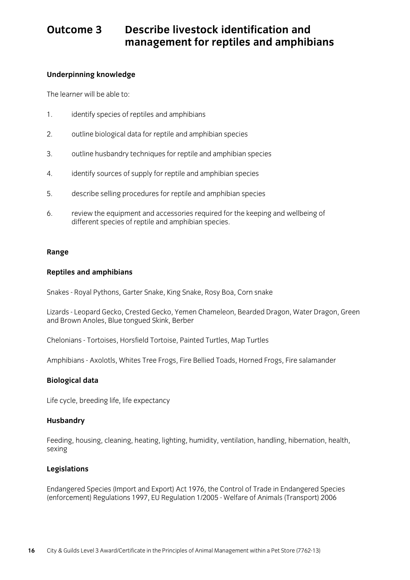### Describe livestock identification and Outcome 3 **Management for reptiles and amphibians management for reptiles and amphibians**

## **Underpinning knowledge**

The learner will be able to:

- $1<sup>1</sup>$ identify species of reptiles and amphibians
- $\overline{2}$ . outline biological data for reptile and amphibian species
- 3. outline husbandry techniques for reptile and amphibian species
- $\overline{4}$  $4.4$  identify sources of supply for reptile and amplitude species
- $5<sub>1</sub>$  $\frac{1}{2}$ . describe selling procedures for replace and amplibian species  $\frac{1}{2}$
- 6.  $\frac{1}{2}$  review the equipment and accessories required for the keeping of the keeping and amphibian species different species of reptile and amphibian species.

#### **Range**

### **Reptiles and amphibians**

Snakes - Royal Pythons, Garter Snake, King Snake, Rosy Boa, Corn snake

Lizards - Leopard Gecko, Crested Gecko, Yemen Chameleon, Bearded Dragon, Water Dragon, Green and Brown Anoles, Blue tongued Skink, Berber

Chelonians - Tortoises, Horsfield Tortoise, Painted Turtles, Map Turtles

Amphibians - Axolotls, Whites Tree Frogs, Fire Bellied Toads, Horned Frogs, Fire salamander

#### **Biological data**

 $\frac{1}{2}$  cycle, breeding  $\frac{1}{2}$ 

### **Husbandry**

Feeding, housing, cleaning, heating, lighting, humidity, ventilation, handling, hibernation, health, sexing

#### **Legislations**

Endangered Species (Import and Export) Act 1976, the Control of Trade in Endangered Species  $($ ener een en $'$ , regulations 1997, EU Regulation 1/2005 - Welfare of Animals (Transport) 2006  $($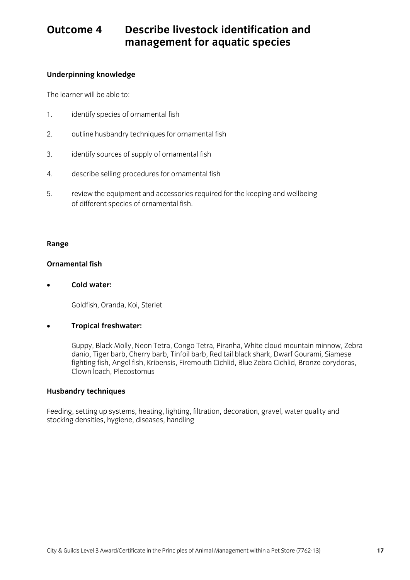### Describe livestock identification and Outcome 4 **Management for aquatic species management for aquatic species**

## **Underpinning knowledge**

The learner will be able to:

- 1. identify species of ornamental fish
- 2. outline husbandry techniques for ornamental fish
- $\frac{1}{2}$ . identify sources of supply of ornamental fish
- $\sigma$  describes for oriental fisher selling procedures for order  $\sigma$
- 5.  $\frac{1}{2}$  review the equipment and accessories required for the keeping and wellof different species of ornamental fish.

### **Range**

#### **Ornamental fish Ornamental fish**

• **Cold water:**

 $\sum_{i=1}^{n}$ 

### • **Tropical freshwater:**

Guppy, Black Molly, Neon Tetra, Congo Tetra, Piranha, White cloud mountain minnow, Zebra<br>danio, Tiger barb, Cherry barb, Tinfoil barb, Red tail black shark, Dwarf Gourami, Siamese fighting fish, Angel fish, Kribensis, Firemouth Cichlid, Blue Zebra Cichlid, Bronze corydoras, fighting fish, Angel fish, Kribensis, Firemouth Cichlid, Blue Zebra Cichlid, Bronze corydoras, Clown loach, Plecostomus

### **Husbandry techniques**

Feeding, setting up systems, heating, lighting, filtration, decoration, gravel, water quality and<br>stocking densities, hygiene, diseases, handling stocking densities, hygiene, diseases, handling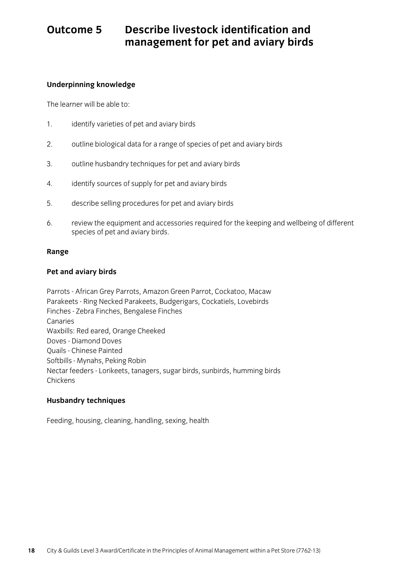### Describe livestock identification and Outcome 5 **Outcome 5 Describe livestock identification and management for pet and aviary birds**

### **Underpinning knowledge**

The learner will be able to: The learner will be able to:

- $1<sup>1</sup>$  $\frac{1}{2}$ . identify varieties of per and aviary birds
- 2. outline biological data for a range of species of pet and aviary birds
- $3.$ outline husbandry techniques for pet and aviary birds
- 4. identify sources of supply for pet and aviary birds
- 5 describe selling procedures for pet and aviary birds
- 6.  $\frac{1}{2}$ . review the equipment and accessories required for the keeping and  $\frac{1}{2}$ species of pet and aviary birds.

### **Range**

### **Pet and aviary birds**

Parrots - African Grey Parrots, Amazon Green Parrot, Cockatoo, Macaw Parakeets - Ring Necked Parakeets, Budgerigars, Cockatiels, Lovebirds Finches - Zebra Finches, Bengalese Finches Canaries<br>Waxbills: Red eared, Orange Cheeked Doves - Diamond Doves Ouails - Chinese Painted Softbills - Mynahs, Peking Robin Softanie - Myname, Peking Robin.<br>Noctor foodors - Lorikoets, topo. nectar feeders - Lorike et anagers, sugar birds, subirdis, humming birds, humming birds, humming birds, humming birds, humming birds, humming birds, humming birds, humming birds, humming birds, humming birds, humming birds Chickens

### **Husbandry techniques**

Feeding, housing, cleaning, handling, sexing, health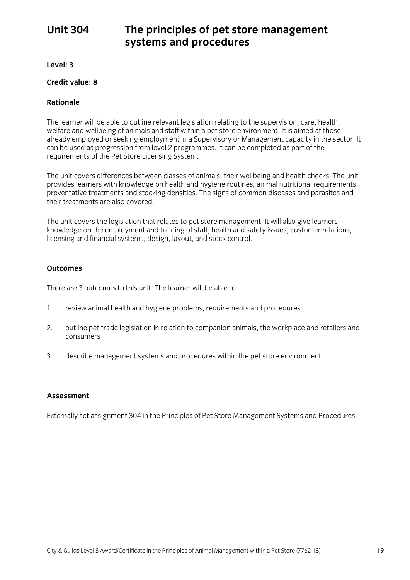### <span id="page-20-0"></span>**Unit 304**

## **Unit 304 The principles of pet store management systems and procedures**

**Level: 3**

#### Credit value: 8 **Credit value: 8**

#### **Rationale Rationale**

The learner will be able to outline relevant legislation relating to the supervision, care, health, welfare and wellbeing of animals and staff within a pet store environment. It is aimed at those already employed or seeking employment in a Supervisory or Management capacity in the sector. It can be used as progression from level 2 programmes. It can be completed as part of the requirements of the Pet Store Licensing System. requirements of the Pet Store Licensing System.

The unit covers differences between classes of animals, their wellbeing and health checks. The unit provides learners with knowledge on health and hygiene routines, animal nutritional requirements, preventative treatments and stocking densities. The signs of common diseases and parasites and their treatments are also covered their treatments are also covered.

The unit covers the legislation that relates to pet store management. It will also give learners<br>knowledge on the employment and training of staff, health and safety issues, customer relations, licensing and financial systems, design, layout, and stock control.  $\frac{1}{2}$  and  $\frac{1}{2}$  systems, design, layout, and stock control.

### **Outcomes**

There are 3 outcomes to this unit. The learner will be able to:

- $1$ 1. review animal health and hygiene problems, requirements and procedures
- 2. outline pet trade legislation in relation to companion animals, the workplace and retailers and consumers
- $3<sub>1</sub>$ 3. describe management systems and procedures within the pet store environment.

#### **Assessment Assessment**

Externally set assignment 304 in the Principles of Pet Store Management Systems and Procedures.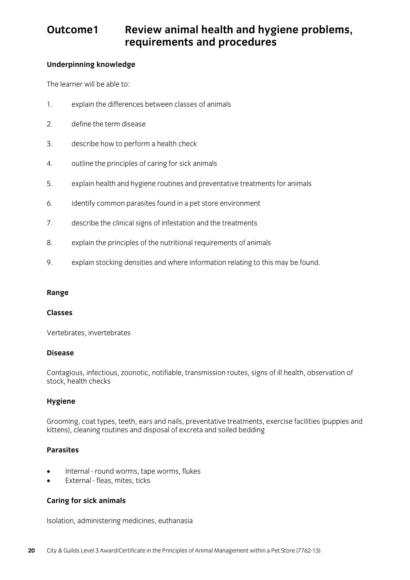### **Review animal health and hygiene problems, requirements and procedures** Outcome1 **requirements and procedures**

### **Underpinning knowledge**

The learner will be able to: The learner will be able to:

- 1. explain the differences between classes of animals
- $\overline{2}$ . define the term disease 2. define the term disease
- $\overline{3}$ . 3. describe how to perform a health check
- 4. outline the principles of caring for sick animals
- 5. 5. explain health and hygiene routines and preventative treatments for animals
- 6. identify common parasites found in a pet store environment
- 7. describe the clinical signs of infestation and the treatments
- 8. explain the principles of the nutritional requirements of animals
- 9. explain stocking densities and where information relating to this may be found.

### **Range**

### **Classes**

Vertebrates, invertebrates

#### **Disease Disease**

Contagious, infectious, zoonotic, notifiable, transmission routes, signs of ill health, observation of stock, health checks

### **Hygiene**

 $G$  coat types, term, ears  $G$ , ears  $G$ , prevents, prevents, prevents, exercise facilities facilities and disposal of excreta and solled bedding kittens), cleaning routines and disposal of excreta and soiled bedding

### **Parasites**

- Internal round worms, tape worms, flukes
- External fleas, mites, ticks

### **Caring for sick animals**

Isolation, administering medicines, euthanasia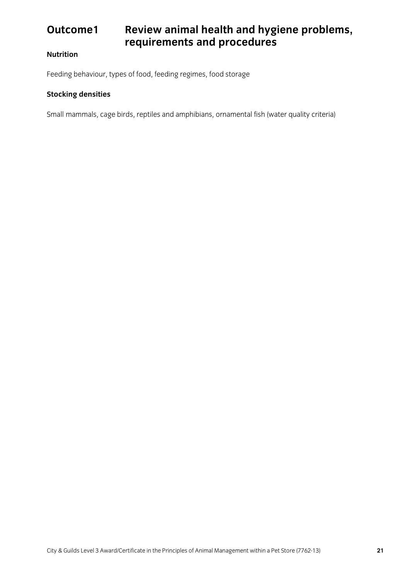## **Outcome1 Review animal health and hygiene problems, requirements and procedures**

### **Nutrition**

Feeding behaviour, types of food, feeding regimes, food storage

### **Stocking densities**

Small mammals, cage birds, reptiles and amphibians, ornamental fish (water quality criteria)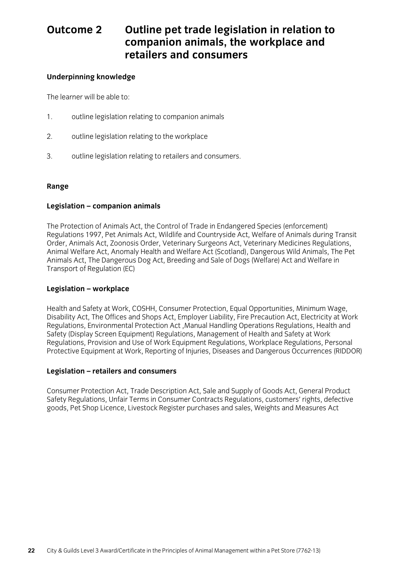### **2** Outline pet trade legislation in relation to companion animals, the workplace and Outcome 2 **retailers and consumers retailers and consumers**

### **Underpinning knowledge**

The learner will be able to: The learner will be able to:

- 1. outline legislation relating to companion animals
- $2.$ outline legislation relating to the workplace
- 3. outline legislation relating to retailers and consumers.

### **Range**

### **Legislation – companion animals**

The Protection of Animals Act, the Control of Trade in Endangered Species (enforcement)<br>Regulations 1997, Pet Animals Act, Wildlife and Countryside Act, Welfare of Animals during Transit Order, Animals Act, Zoonosis Order, Veterinary Surgeons Act, Veterinary Medicines Regulations, Animal Welfare Act, Anomaly Health and Welfare Act (Scotland), Dangerous Wild Animals, The Pet Animals Act, The Dangerous Dog Act, Breeding and Sale of Dogs (Welfare) Act and Welfare in Transport of Regulation (EC)  $T_{\rm c}$  and  $\mu$  of  $\sigma$  and  $\sigma$   $\sigma$   $\sigma$   $\sigma$ 

### **Legislation – workplace**

Health and Safety at Work, COSHH, Consumer Protection, Equal Opportunities, Minimum Wage,<br>Disability Act, The Offices and Shops Act, Employer Liability, Fire Precaution Act, Electricity at Work Regulations, Environmental Protection Act, Manual Handling Operations Regulations, Health and Safety (Display Screen Equipment) Regulations, Management of Health and Safety at Work Regulations, Provision and Use of Work Equipment Regulations, Workplace Regulations, Personal Protective Equipment at Work, Reporting of Injuries, Diseases and Dangerous Occurrences (RIDDOR) Protective Equipment at Work, Reporting of Injuries, Diseases and Dangerous Occurrences (RIDDOR)

#### **Legislation – retailers and consumers**

Consumer Protection Act, Trade Description Act, Sale and Supply of Goods Act, General Product goods, Pet Shop Licence, Livestock Register purchases and sales, Weights and Measures Act  $g^{2\tan}$ , Pet Shop Licence, Licence, Licence, Measures  $\alpha$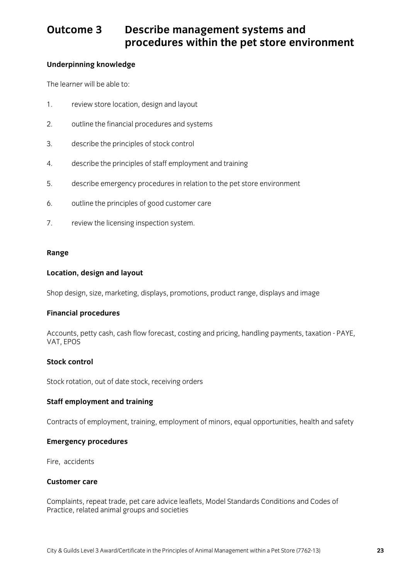## **Outcome 3 Describe management systems and procedures within the pet store environment**

### **Underpinning knowledge**

The learner will be able to: The learner will be able to:

- 1. review store location, design and layout
- $\overline{2}$ . outline the financial procedures and systems
- $\overline{3}$ . 3. describe the principles of stock control
- 4. describe the principles of staff employment and training
- 5. describe emergency procedures in relation to the pet store environment
- $6<sub>1</sub>$ 6. outline the principles of good customer care
- 7. review the licensing inspection system.

### **Range**

### **Location, design and layout**

Shop design, size, marketing, displays, promotions, product range, displays and image

## **Financial procedures**

Accounts, petty cash, cash flow forecast, costing and pricing, handling payments, taxation - PAYE, VAT, EPOS

#### **Stock control Stock control**

Stock rotation, out of date stock, receiving orders

### **Staff employment and training**

Contracts of employment, training, employment of minors, equal opportunities, health and safety

### **Emergency procedures**

Fire, accidents

### **Customer care**

Complaints, repeat trade, pet care advice leaflets, Model Standards Conditions and Codes of Practice, related animal groups and societies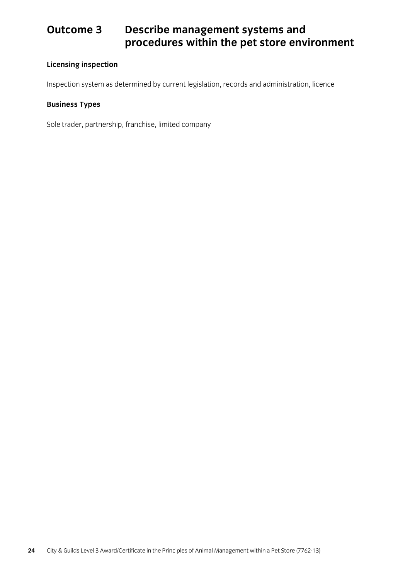## **Outcome 3 Describe management systems and procedures within the pet store environment**

### **Licensing inspection**

Inspection system as determined by current legislation, records and administration, licence

### **Business Types**

Sole trader, partnership, franchise, limited company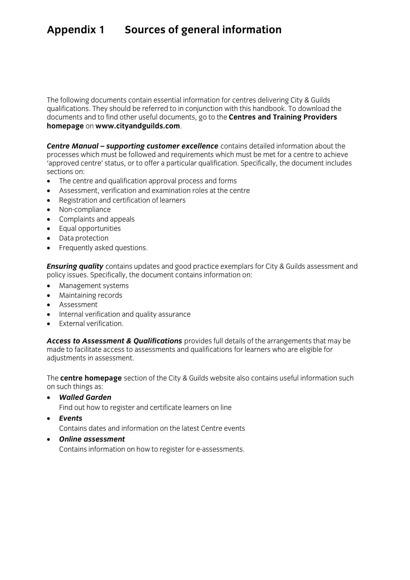# <span id="page-26-0"></span>**Appendix 1 Sources of general information**

The following documents contain essential information for centres delivering City & Guilds qualifications. They should be referred to in conjunction with this handbook. To download the documents and to find other useful documents, go to the **Centres and Training Providers** homepage on www.cityandguilds.com. **homepage** on **www.cityandguilds.com**.

**Centre Manual – supporting customer excellence** contains detailed information about the processes which must be followed and requirements which must be met for a centre to achieve tapproved centre' status, or to offer a particular qualification. Specifically, the document includes Sections on:

- The centre and qualification approval process and forms<br>• Assessment verification and examination roles at the ce
- Assessment, verification and examination roles at the centre
- Registration and certification of learners
- Non-compliance
- Complaints and appeals
- Equal opportunities
- Data protection
- Frequently asked questions.

**Ensuring quality** contains updates and good practice exemplars for City & Guilds assessment and policy issues. Specifically, the document contains information on:

- policy issues. Specifically, the document contains information on: Management systems
- Maintaining records
- **Assessment**
- Internal verification and quality assurance
- **External verification.**

*Access to Assessment & Qualifications* provides full details of the arrangements that may be  $r_{\rm eff}$  and  $r_{\rm eff}$  and  $r_{\rm eff}$  are eligible for learners who are eligible for learners who are eligible for learners who are eligible for learners who are eligible for learners who are eligible for learners who are el adjustments in assessment.

The **centre homepage** section of the City & Guilds website also contains useful information such

- *Walled Garden* Find out how to register and certificate learners on line
- 

**Events**<br>Contains dates and information on the latest Centre events

• Online assessment<br>Contains information on how to register for a assessments Contains information on how to register for e-assessments.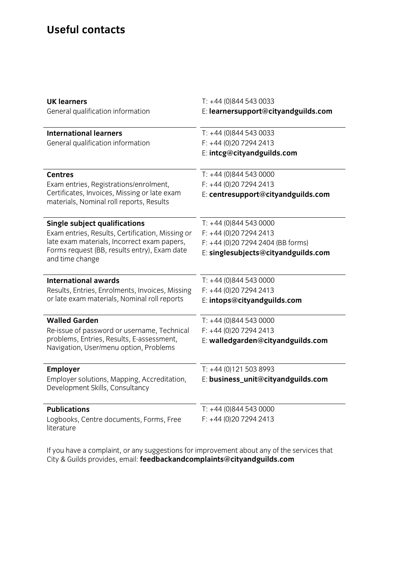### **Useful contacts**

| <b>UK learners</b><br>General qualification information                                                                                                                                                    | $T: +44(0)8445430033$<br>E: learnersupport@cityandguilds.com                                                               |
|------------------------------------------------------------------------------------------------------------------------------------------------------------------------------------------------------------|----------------------------------------------------------------------------------------------------------------------------|
| <b>International learners</b><br>General qualification information                                                                                                                                         | $T: +44(0)8445430033$<br>$F: +44(0)2072942413$<br>E: intcg@cityandguilds.com                                               |
| <b>Centres</b><br>Exam entries, Registrations/enrolment,<br>Certificates, Invoices, Missing or late exam<br>materials, Nominal roll reports, Results                                                       | $T: +44(0)8445430000$<br>$F: +44(0)2072942413$<br>E: centresupport@cityandguilds.com                                       |
| <b>Single subject qualifications</b><br>Exam entries, Results, Certification, Missing or<br>late exam materials, Incorrect exam papers,<br>Forms request (BB, results entry), Exam date<br>and time change | $T: +44(0)8445430000$<br>$F: +44(0)2072942413$<br>F: +44 (0)20 7294 2404 (BB forms)<br>E: singlesubjects@cityandguilds.com |
| <b>International awards</b><br>Results, Entries, Enrolments, Invoices, Missing<br>or late exam materials, Nominal roll reports                                                                             | $T: +44(0)8445430000$<br>$F: +44(0)2072942413$<br>E: intops@cityandguilds.com                                              |
| <b>Walled Garden</b><br>Re-issue of password or username, Technical<br>problems, Entries, Results, E-assessment,<br>Navigation, User/menu option, Problems                                                 | $T: +44(0)8445430000$<br>$F: +44(0)2072942413$<br>E: walledgarden@cityandguilds.com                                        |
| <b>Employer</b><br>Employer solutions, Mapping, Accreditation,<br>Development Skills, Consultancy                                                                                                          | $T: +44(0)1215038993$<br>E: business_unit@cityandguilds.com                                                                |
| <b>Publications</b><br>Logbooks, Centre documents, Forms, Free<br>literature                                                                                                                               | $T: +44(0)8445430000$<br>$F: +44(0)2072942413$                                                                             |

 $\sum_{i=1}^{n}$  Guilds provides email: **feedbackandcomplaints@cityandquilds com** City & Guilds provides, email: **feedbackandcomplaints@cityandguilds.com**